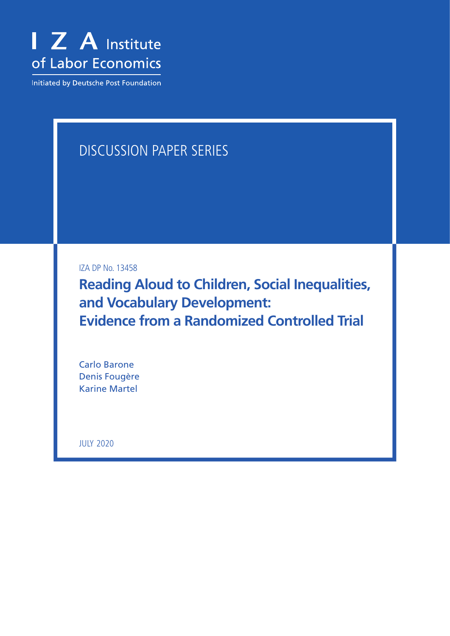

Initiated by Deutsche Post Foundation

# DISCUSSION PAPER SERIES

IZA DP No. 13458

**Reading Aloud to Children, Social Inequalities, and Vocabulary Development: Evidence from a Randomized Controlled Trial**

Carlo Barone Denis Fougère Karine Martel

JULY 2020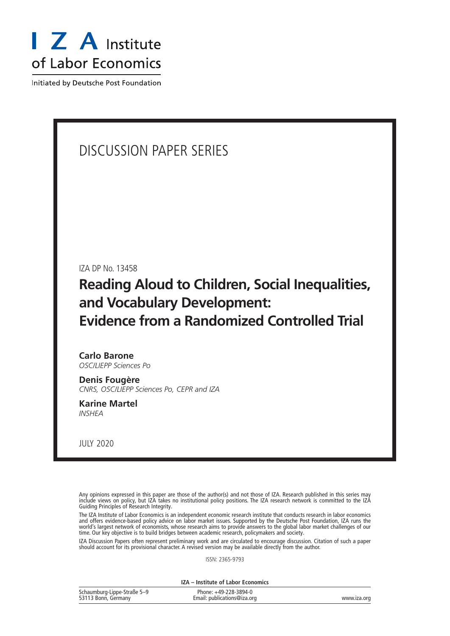

Initiated by Deutsche Post Foundation

## DISCUSSION PAPER SERIES

IZA DP No. 13458

## **Reading Aloud to Children, Social Inequalities, and Vocabulary Development: Evidence from a Randomized Controlled Trial**

**Carlo Barone** *OSC/LIEPP Sciences Po*

**Denis Fougère** *CNRS, OSC/LIEPP Sciences Po, CEPR and IZA*

**Karine Martel** *INSHEA*

JULY 2020

Any opinions expressed in this paper are those of the author(s) and not those of IZA. Research published in this series may include views on policy, but IZA takes no institutional policy positions. The IZA research network is committed to the IZA Guiding Principles of Research Integrity.

The IZA Institute of Labor Economics is an independent economic research institute that conducts research in labor economics and offers evidence-based policy advice on labor market issues. Supported by the Deutsche Post Foundation, IZA runs the world's largest network of economists, whose research aims to provide answers to the global labor market challenges of our time. Our key objective is to build bridges between academic research, policymakers and society.

IZA Discussion Papers often represent preliminary work and are circulated to encourage discussion. Citation of such a paper should account for its provisional character. A revised version may be available directly from the author.

ISSN: 2365-9793

**IZA – Institute of Labor Economics**

| Schaumburg-Lippe-Straße 5-9 | Phone: +49-228-3894-0       |             |
|-----------------------------|-----------------------------|-------------|
| 53113 Bonn, Germany         | Email: publications@iza.org | www.iza.org |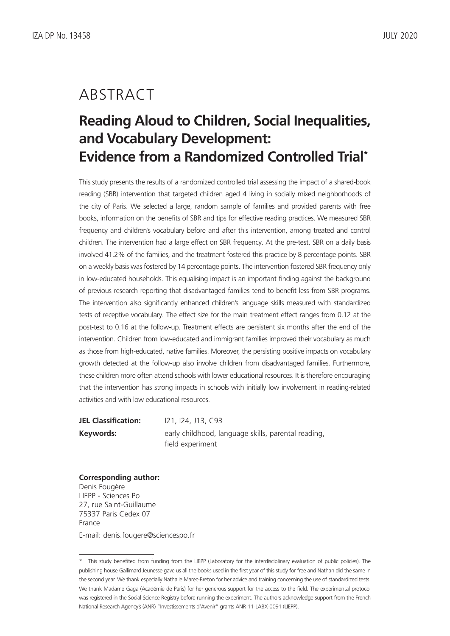### ABSTRACT

# **Reading Aloud to Children, Social Inequalities, and Vocabulary Development: Evidence from a Randomized Controlled Trial\***

This study presents the results of a randomized controlled trial assessing the impact of a shared-book reading (SBR) intervention that targeted children aged 4 living in socially mixed neighborhoods of the city of Paris. We selected a large, random sample of families and provided parents with free books, information on the benefits of SBR and tips for effective reading practices. We measured SBR frequency and children's vocabulary before and after this intervention, among treated and control children. The intervention had a large effect on SBR frequency. At the pre-test, SBR on a daily basis involved 41.2% of the families, and the treatment fostered this practice by 8 percentage points. SBR on a weekly basis was fostered by 14 percentage points. The intervention fostered SBR frequency only in low-educated households. This equalising impact is an important finding against the background of previous research reporting that disadvantaged families tend to benefit less from SBR programs. The intervention also significantly enhanced children's language skills measured with standardized tests of receptive vocabulary. The effect size for the main treatment effect ranges from 0.12 at the post-test to 0.16 at the follow-up. Treatment effects are persistent six months after the end of the intervention. Children from low-educated and immigrant families improved their vocabulary as much as those from high-educated, native families. Moreover, the persisting positive impacts on vocabulary growth detected at the follow-up also involve children from disadvantaged families. Furthermore, these children more often attend schools with lower educational resources. It is therefore encouraging that the intervention has strong impacts in schools with initially low involvement in reading-related activities and with low educational resources.

**JEL Classification:** I21, I24, J13, C93 **Keywords:** early childhood, language skills, parental reading, field experiment

**Corresponding author:** Denis Fougère LIEPP - Sciences Po 27, rue Saint-Guillaume 75337 Paris Cedex 07 France E-mail: denis.fougere@sciencespo.fr

<sup>\*</sup> This study benefited from funding from the LIEPP (Laboratory for the interdisciplinary evaluation of public policies). The publishing house Gallimard Jeunesse gave us all the books used in the first year of this study for free and Nathan did the same in the second year. We thank especially Nathalie Marec-Breton for her advice and training concerning the use of standardized tests. We thank Madame Gaga (Académie de Paris) for her generous support for the access to the field. The experimental protocol was registered in the Social Science Registry before running the experiment. The authors acknowledge support from the French National Research Agency's (ANR) "Investissements d'Avenir" grants ANR-11-LABX-0091 (LIEPP).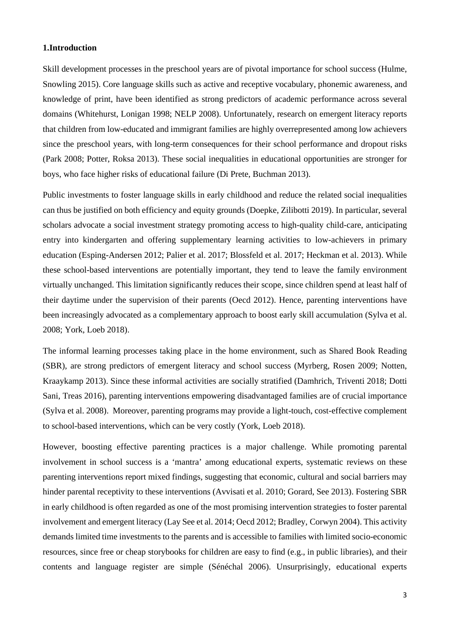#### **1.Introduction**

Skill development processes in the preschool years are of pivotal importance for school success (Hulme, Snowling 2015). Core language skills such as active and receptive vocabulary, phonemic awareness, and knowledge of print, have been identified as strong predictors of academic performance across several domains (Whitehurst, Lonigan 1998; NELP 2008). Unfortunately, research on emergent literacy reports that children from low-educated and immigrant families are highly overrepresented among low achievers since the preschool years, with long-term consequences for their school performance and dropout risks (Park 2008; Potter, Roksa 2013). These social inequalities in educational opportunities are stronger for boys, who face higher risks of educational failure (Di Prete, Buchman 2013).

Public investments to foster language skills in early childhood and reduce the related social inequalities can thus be justified on both efficiency and equity grounds (Doepke, Zilibotti 2019). In particular, several scholars advocate a social investment strategy promoting access to high-quality child-care, anticipating entry into kindergarten and offering supplementary learning activities to low-achievers in primary education (Esping-Andersen 2012; Palier et al. 2017; Blossfeld et al. 2017; Heckman et al. 2013). While these school-based interventions are potentially important, they tend to leave the family environment virtually unchanged. This limitation significantly reduces their scope, since children spend at least half of their daytime under the supervision of their parents (Oecd 2012). Hence, parenting interventions have been increasingly advocated as a complementary approach to boost early skill accumulation (Sylva et al. 2008; York, Loeb 2018).

The informal learning processes taking place in the home environment, such as Shared Book Reading (SBR), are strong predictors of emergent literacy and school success (Myrberg, Rosen 2009; Notten, Kraaykamp 2013). Since these informal activities are socially stratified (Damhrich, Triventi 2018; [Dotti](https://onlinelibrary.wiley.com/action/doSearch?ContribAuthorStored=Dotti+Sani%2C+Giulia+M)  [Sani,](https://onlinelibrary.wiley.com/action/doSearch?ContribAuthorStored=Dotti+Sani%2C+Giulia+M) [Treas](https://onlinelibrary.wiley.com/action/doSearch?ContribAuthorStored=Treas%2C+Judith) 2016), parenting interventions empowering disadvantaged families are of crucial importance (Sylva et al. 2008). Moreover, parenting programs may provide a light-touch, cost-effective complement to school-based interventions, which can be very costly (York, Loeb 2018).

However, boosting effective parenting practices is a major challenge. While promoting parental involvement in school success is a 'mantra' among educational experts, systematic reviews on these parenting interventions report mixed findings, suggesting that economic, cultural and social barriers may hinder parental receptivity to these interventions (Avvisati et al. 2010; Gorard, See 2013). Fostering SBR in early childhood is often regarded as one of the most promising intervention strategies to foster parental involvement and emergent literacy (Lay See et al. 2014; Oecd 2012; Bradley, Corwyn 2004). This activity demands limited time investments to the parents and is accessible to families with limited socio-economic resources, since free or cheap storybooks for children are easy to find (e.g., in public libraries), and their contents and language register are simple (Sénéchal 2006). Unsurprisingly, educational experts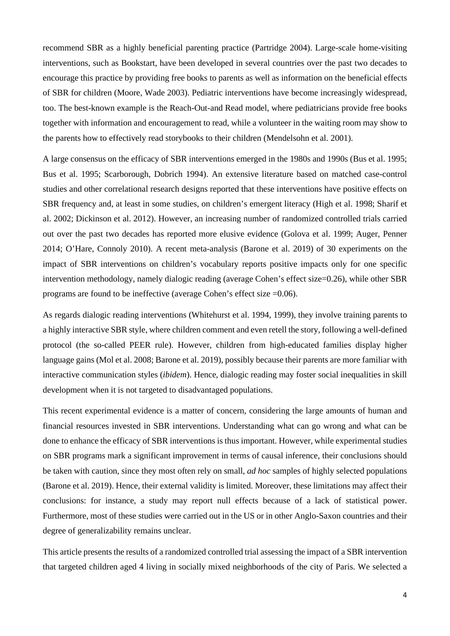recommend SBR as a highly beneficial parenting practice (Partridge 2004). Large-scale home-visiting interventions, such as Bookstart, have been developed in several countries over the past two decades to encourage this practice by providing free books to parents as well as information on the beneficial effects of SBR for children (Moore, Wade 2003). Pediatric interventions have become increasingly widespread, too. The best-known example is the Reach-Out-and Read model, where pediatricians provide free books together with information and encouragement to read, while a volunteer in the waiting room may show to the parents how to effectively read storybooks to their children (Mendelsohn et al. 2001).

A large consensus on the efficacy of SBR interventions emerged in the 1980s and 1990s (Bus et al. 1995; Bus et al. 1995; Scarborough, Dobrich 1994). An extensive literature based on matched case-control studies and other correlational research designs reported that these interventions have positive effects on SBR frequency and, at least in some studies, on children's emergent literacy (High et al. 1998; Sharif et al. 2002; Dickinson et al. 2012). However, an increasing number of randomized controlled trials carried out over the past two decades has reported more elusive evidence (Golova et al. 1999; Auger, Penner 2014; O'Hare, Connoly 2010). A recent meta-analysis (Barone et al. 2019) of 30 experiments on the impact of SBR interventions on children's vocabulary reports positive impacts only for one specific intervention methodology, namely dialogic reading (average Cohen's effect size=0.26), while other SBR programs are found to be ineffective (average Cohen's effect size  $=0.06$ ).

As regards dialogic reading interventions (Whitehurst et al. 1994, 1999), they involve training parents to a highly interactive SBR style, where children comment and even retell the story, following a well-defined protocol (the so-called PEER rule). However, children from high-educated families display higher language gains (Mol et al. 2008; Barone et al. 2019), possibly because their parents are more familiar with interactive communication styles (*ibidem*). Hence, dialogic reading may foster social inequalities in skill development when it is not targeted to disadvantaged populations.

This recent experimental evidence is a matter of concern, considering the large amounts of human and financial resources invested in SBR interventions. Understanding what can go wrong and what can be done to enhance the efficacy of SBR interventions is thus important. However, while experimental studies on SBR programs mark a significant improvement in terms of causal inference, their conclusions should be taken with caution, since they most often rely on small, *ad hoc* samples of highly selected populations (Barone et al. 2019). Hence, their external validity is limited. Moreover, these limitations may affect their conclusions: for instance, a study may report null effects because of a lack of statistical power. Furthermore, most of these studies were carried out in the US or in other Anglo-Saxon countries and their degree of generalizability remains unclear.

This article presents the results of a randomized controlled trial assessing the impact of a SBR intervention that targeted children aged 4 living in socially mixed neighborhoods of the city of Paris. We selected a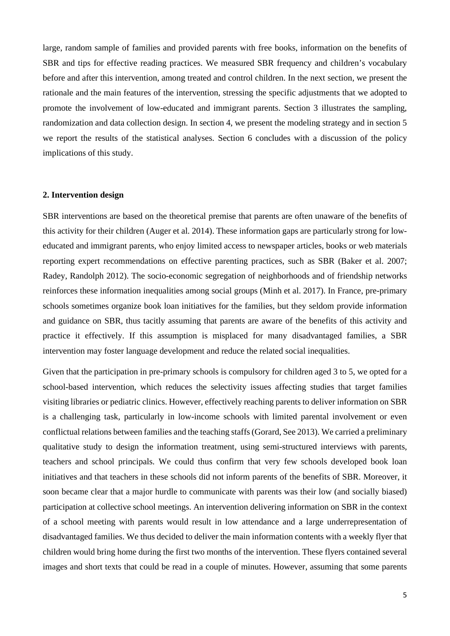large, random sample of families and provided parents with free books, information on the benefits of SBR and tips for effective reading practices. We measured SBR frequency and children's vocabulary before and after this intervention, among treated and control children. In the next section, we present the rationale and the main features of the intervention, stressing the specific adjustments that we adopted to promote the involvement of low-educated and immigrant parents. Section 3 illustrates the sampling, randomization and data collection design. In section 4, we present the modeling strategy and in section 5 we report the results of the statistical analyses. Section 6 concludes with a discussion of the policy implications of this study.

#### **2. Intervention design**

SBR interventions are based on the theoretical premise that parents are often unaware of the benefits of this activity for their children (Auger et al. 2014). These information gaps are particularly strong for loweducated and immigrant parents, who enjoy limited access to newspaper articles, books or web materials reporting expert recommendations on effective parenting practices, such as SBR (Baker et al. 2007; Radey, Randolph 2012). The socio-economic segregation of neighborhoods and of friendship networks reinforces these information inequalities among social groups (Minh et al. 2017). In France, pre-primary schools sometimes organize book loan initiatives for the families, but they seldom provide information and guidance on SBR, thus tacitly assuming that parents are aware of the benefits of this activity and practice it effectively. If this assumption is misplaced for many disadvantaged families, a SBR intervention may foster language development and reduce the related social inequalities.

Given that the participation in pre-primary schools is compulsory for children aged 3 to 5, we opted for a school-based intervention, which reduces the selectivity issues affecting studies that target families visiting libraries or pediatric clinics. However, effectively reaching parents to deliver information on SBR is a challenging task, particularly in low-income schools with limited parental involvement or even conflictual relations between families and the teaching staffs(Gorard, See 2013). We carried a preliminary qualitative study to design the information treatment, using semi-structured interviews with parents, teachers and school principals. We could thus confirm that very few schools developed book loan initiatives and that teachers in these schools did not inform parents of the benefits of SBR. Moreover, it soon became clear that a major hurdle to communicate with parents was their low (and socially biased) participation at collective school meetings. An intervention delivering information on SBR in the context of a school meeting with parents would result in low attendance and a large underrepresentation of disadvantaged families. We thus decided to deliver the main information contents with a weekly flyer that children would bring home during the first two months of the intervention. These flyers contained several images and short texts that could be read in a couple of minutes. However, assuming that some parents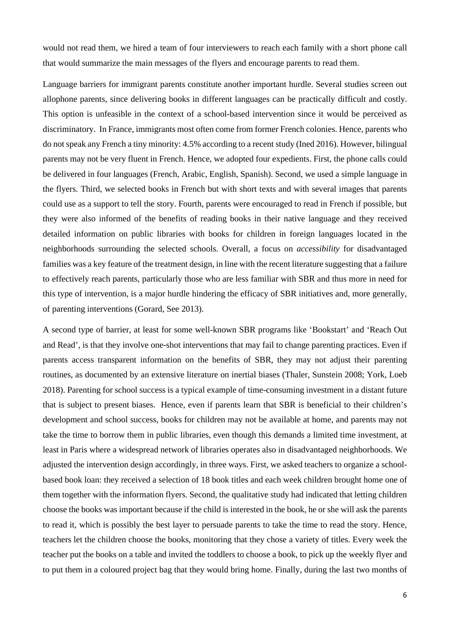would not read them, we hired a team of four interviewers to reach each family with a short phone call that would summarize the main messages of the flyers and encourage parents to read them.

Language barriers for immigrant parents constitute another important hurdle. Several studies screen out allophone parents, since delivering books in different languages can be practically difficult and costly. This option is unfeasible in the context of a school-based intervention since it would be perceived as discriminatory. In France, immigrants most often come from former French colonies. Hence, parents who do not speak any French a tiny minority: 4.5% according to a recent study (Ined 2016). However, bilingual parents may not be very fluent in French. Hence, we adopted four expedients. First, the phone calls could be delivered in four languages (French, Arabic, English, Spanish). Second, we used a simple language in the flyers. Third, we selected books in French but with short texts and with several images that parents could use as a support to tell the story. Fourth, parents were encouraged to read in French if possible, but they were also informed of the benefits of reading books in their native language and they received detailed information on public libraries with books for children in foreign languages located in the neighborhoods surrounding the selected schools. Overall, a focus on *accessibility* for disadvantaged families was a key feature of the treatment design, in line with the recent literature suggesting that a failure to effectively reach parents, particularly those who are less familiar with SBR and thus more in need for this type of intervention, is a major hurdle hindering the efficacy of SBR initiatives and, more generally, of parenting interventions (Gorard, See 2013).

A second type of barrier, at least for some well-known SBR programs like 'Bookstart' and 'Reach Out and Read', is that they involve one-shot interventions that may fail to change parenting practices. Even if parents access transparent information on the benefits of SBR, they may not adjust their parenting routines, as documented by an extensive literature on inertial biases (Thaler, Sunstein 2008; York, Loeb 2018). Parenting for school success is a typical example of time-consuming investment in a distant future that is subject to present biases. Hence, even if parents learn that SBR is beneficial to their children's development and school success, books for children may not be available at home, and parents may not take the time to borrow them in public libraries, even though this demands a limited time investment, at least in Paris where a widespread network of libraries operates also in disadvantaged neighborhoods. We adjusted the intervention design accordingly, in three ways. First, we asked teachers to organize a schoolbased book loan: they received a selection of 18 book titles and each week children brought home one of them together with the information flyers. Second, the qualitative study had indicated that letting children choose the books was important because if the child is interested in the book, he or she will ask the parents to read it, which is possibly the best layer to persuade parents to take the time to read the story. Hence, teachers let the children choose the books, monitoring that they chose a variety of titles. Every week the teacher put the books on a table and invited the toddlers to choose a book, to pick up the weekly flyer and to put them in a coloured project bag that they would bring home. Finally, during the last two months of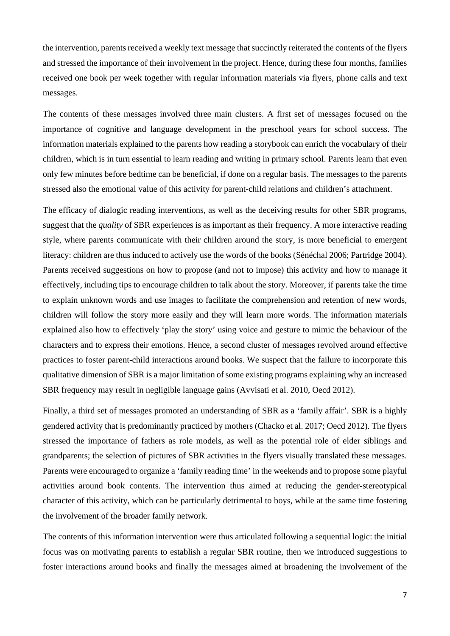the intervention, parents received a weekly text message that succinctly reiterated the contents of the flyers and stressed the importance of their involvement in the project. Hence, during these four months, families received one book per week together with regular information materials via flyers, phone calls and text messages.

The contents of these messages involved three main clusters. A first set of messages focused on the importance of cognitive and language development in the preschool years for school success. The information materials explained to the parents how reading a storybook can enrich the vocabulary of their children, which is in turn essential to learn reading and writing in primary school. Parents learn that even only few minutes before bedtime can be beneficial, if done on a regular basis. The messages to the parents stressed also the emotional value of this activity for parent-child relations and children's attachment.

The efficacy of dialogic reading interventions, as well as the deceiving results for other SBR programs, suggest that the *quality* of SBR experiences is as important as their frequency. A more interactive reading style, where parents communicate with their children around the story, is more beneficial to emergent literacy: children are thus induced to actively use the words of the books (Sénéchal 2006; Partridge 2004). Parents received suggestions on how to propose (and not to impose) this activity and how to manage it effectively, including tips to encourage children to talk about the story. Moreover, if parents take the time to explain unknown words and use images to facilitate the comprehension and retention of new words, children will follow the story more easily and they will learn more words. The information materials explained also how to effectively 'play the story' using voice and gesture to mimic the behaviour of the characters and to express their emotions. Hence, a second cluster of messages revolved around effective practices to foster parent-child interactions around books. We suspect that the failure to incorporate this qualitative dimension of SBR is a major limitation of some existing programs explaining why an increased SBR frequency may result in negligible language gains (Avvisati et al. 2010, Oecd 2012).

Finally, a third set of messages promoted an understanding of SBR as a 'family affair'. SBR is a highly gendered activity that is predominantly practiced by mothers (Chacko et al. 2017; Oecd 2012). The flyers stressed the importance of fathers as role models, as well as the potential role of elder siblings and grandparents; the selection of pictures of SBR activities in the flyers visually translated these messages. Parents were encouraged to organize a 'family reading time' in the weekends and to propose some playful activities around book contents. The intervention thus aimed at reducing the gender-stereotypical character of this activity, which can be particularly detrimental to boys, while at the same time fostering the involvement of the broader family network.

The contents of this information intervention were thus articulated following a sequential logic: the initial focus was on motivating parents to establish a regular SBR routine, then we introduced suggestions to foster interactions around books and finally the messages aimed at broadening the involvement of the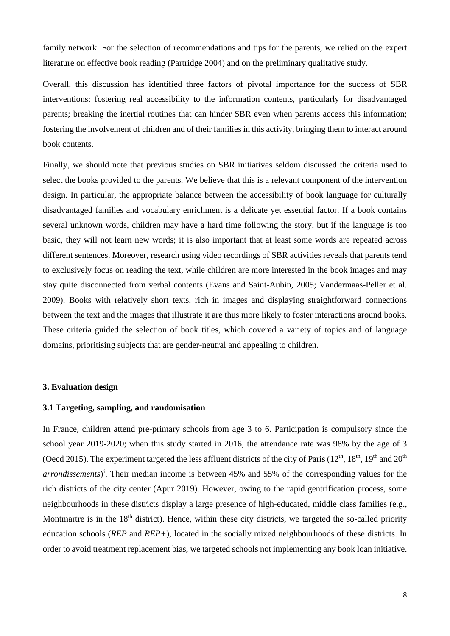family network. For the selection of recommendations and tips for the parents, we relied on the expert literature on effective book reading (Partridge 2004) and on the preliminary qualitative study.

Overall, this discussion has identified three factors of pivotal importance for the success of SBR interventions: fostering real accessibility to the information contents, particularly for disadvantaged parents; breaking the inertial routines that can hinder SBR even when parents access this information; fostering the involvement of children and of their families in this activity, bringing them to interact around book contents.

Finally, we should note that previous studies on SBR initiatives seldom discussed the criteria used to select the books provided to the parents. We believe that this is a relevant component of the intervention design. In particular, the appropriate balance between the accessibility of book language for culturally disadvantaged families and vocabulary enrichment is a delicate yet essential factor. If a book contains several unknown words, children may have a hard time following the story, but if the language is too basic, they will not learn new words; it is also important that at least some words are repeated across different sentences. Moreover, research using video recordings of SBR activities reveals that parents tend to exclusively focus on reading the text, while children are more interested in the book images and may stay quite disconnected from verbal contents (Evans and Saint-Aubin, 2005; Vandermaas-Peller et al. 2009). Books with relatively short texts, rich in images and displaying straightforward connections between the text and the images that illustrate it are thus more likely to foster interactions around books. These criteria guided the selection of book titles, which covered a variety of topics and of language domains, prioritising subjects that are gender-neutral and appealing to children.

#### **3. Evaluation design**

#### **3.1 Targeting, sampling, and randomisation**

In France, children attend pre-primary schools from age 3 to 6. Participation is compulsory since the school year 2019-2020; when this study started in 2016, the attendance rate was 98% by the age of 3 (Oecd 2015). The experiment targeted the less affluent districts of the city of Paris ( $12<sup>th</sup>$ ,  $18<sup>th</sup>$ ,  $19<sup>th</sup>$  and  $20<sup>th</sup>$ arrond[i](#page-27-0)ssements)<sup>i</sup>. Their median income is between 45% and 55% of the corresponding values for the rich districts of the city center (Apur 2019). However, owing to the rapid gentrification process, some neighbourhoods in these districts display a large presence of high-educated, middle class families (e.g., Montmartre is in the  $18<sup>th</sup>$  district). Hence, within these city districts, we targeted the so-called priority education schools (*REP* and *REP+*), located in the socially mixed neighbourhoods of these districts. In order to avoid treatment replacement bias, we targeted schools not implementing any book loan initiative.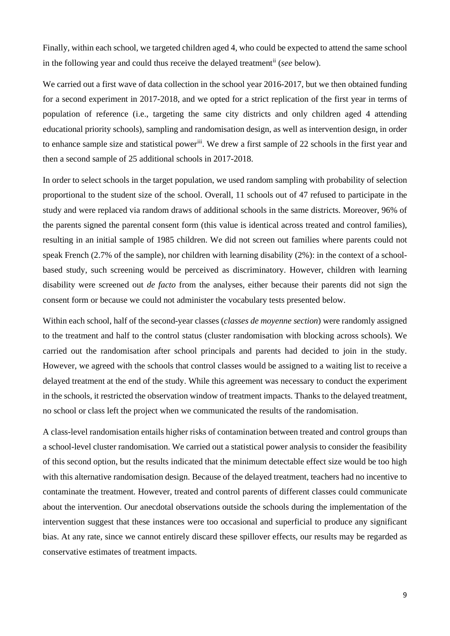Finally, within each school, we targeted children aged 4, who could be expected to attend the same school in the following year and could thus receive the delayed treatment[ii](#page-27-1) (*see* below).

We carried out a first wave of data collection in the school year 2016-2017, but we then obtained funding for a second experiment in 2017-2018, and we opted for a strict replication of the first year in terms of population of reference (i.e., targeting the same city districts and only children aged 4 attending educational priority schools), sampling and randomisation design, as well as intervention design, in order to enhance sample size and statistical power[iii.](#page-27-2) We drew a first sample of 22 schools in the first year and then a second sample of 25 additional schools in 2017-2018.

In order to select schools in the target population, we used random sampling with probability of selection proportional to the student size of the school. Overall, 11 schools out of 47 refused to participate in the study and were replaced via random draws of additional schools in the same districts. Moreover, 96% of the parents signed the parental consent form (this value is identical across treated and control families), resulting in an initial sample of 1985 children. We did not screen out families where parents could not speak French (2.7% of the sample), nor children with learning disability (2%): in the context of a schoolbased study, such screening would be perceived as discriminatory. However, children with learning disability were screened out *de facto* from the analyses, either because their parents did not sign the consent form or because we could not administer the vocabulary tests presented below.

Within each school, half of the second-year classes (*classes de moyenne section*) were randomly assigned to the treatment and half to the control status (cluster randomisation with blocking across schools). We carried out the randomisation after school principals and parents had decided to join in the study. However, we agreed with the schools that control classes would be assigned to a waiting list to receive a delayed treatment at the end of the study. While this agreement was necessary to conduct the experiment in the schools, it restricted the observation window of treatment impacts. Thanks to the delayed treatment, no school or class left the project when we communicated the results of the randomisation.

A class-level randomisation entails higher risks of contamination between treated and control groups than a school-level cluster randomisation. We carried out a statistical power analysis to consider the feasibility of this second option, but the results indicated that the minimum detectable effect size would be too high with this alternative randomisation design. Because of the delayed treatment, teachers had no incentive to contaminate the treatment. However, treated and control parents of different classes could communicate about the intervention. Our anecdotal observations outside the schools during the implementation of the intervention suggest that these instances were too occasional and superficial to produce any significant bias. At any rate, since we cannot entirely discard these spillover effects, our results may be regarded as conservative estimates of treatment impacts.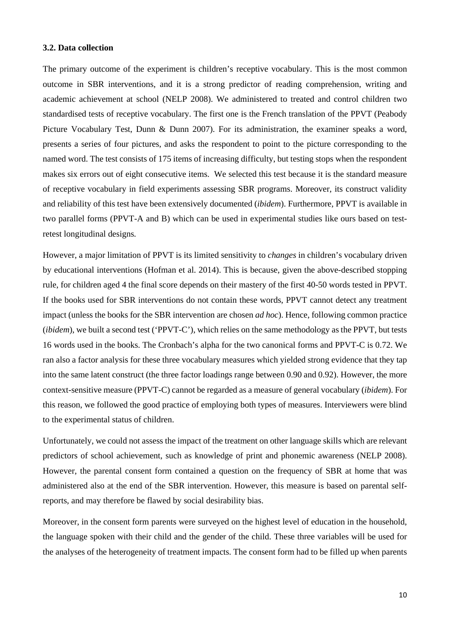#### **3.2. Data collection**

The primary outcome of the experiment is children's receptive vocabulary. This is the most common outcome in SBR interventions, and it is a strong predictor of reading comprehension, writing and academic achievement at school (NELP 2008). We administered to treated and control children two standardised tests of receptive vocabulary. The first one is the French translation of the PPVT (Peabody Picture Vocabulary Test, Dunn & Dunn 2007). For its administration, the examiner speaks a word, presents a series of four pictures, and asks the respondent to point to the picture corresponding to the named word. The test consists of 175 items of increasing difficulty, but testing stops when the respondent makes six errors out of eight consecutive items. We selected this test because it is the standard measure of receptive vocabulary in field experiments assessing SBR programs. Moreover, its construct validity and reliability of this test have been extensively documented (*ibidem*). Furthermore, PPVT is available in two parallel forms (PPVT-A and B) which can be used in experimental studies like ours based on testretest longitudinal designs.

However, a major limitation of PPVT is its limited sensitivity to *changes* in children's vocabulary driven by educational interventions (Hofman et al. 2014). This is because, given the above-described stopping rule, for children aged 4 the final score depends on their mastery of the first 40-50 words tested in PPVT. If the books used for SBR interventions do not contain these words, PPVT cannot detect any treatment impact (unless the books for the SBR intervention are chosen *ad hoc*). Hence, following common practice (*ibidem*), we built a second test ('PPVT-C'), which relies on the same methodology as the PPVT, but tests 16 words used in the books. The Cronbach's alpha for the two canonical forms and PPVT-C is 0.72. We ran also a factor analysis for these three vocabulary measures which yielded strong evidence that they tap into the same latent construct (the three factor loadings range between 0.90 and 0.92). However, the more context-sensitive measure (PPVT-C) cannot be regarded as a measure of general vocabulary (*ibidem*). For this reason, we followed the good practice of employing both types of measures. Interviewers were blind to the experimental status of children.

Unfortunately, we could not assess the impact of the treatment on other language skills which are relevant predictors of school achievement, such as knowledge of print and phonemic awareness (NELP 2008). However, the parental consent form contained a question on the frequency of SBR at home that was administered also at the end of the SBR intervention. However, this measure is based on parental selfreports, and may therefore be flawed by social desirability bias.

Moreover, in the consent form parents were surveyed on the highest level of education in the household, the language spoken with their child and the gender of the child. These three variables will be used for the analyses of the heterogeneity of treatment impacts. The consent form had to be filled up when parents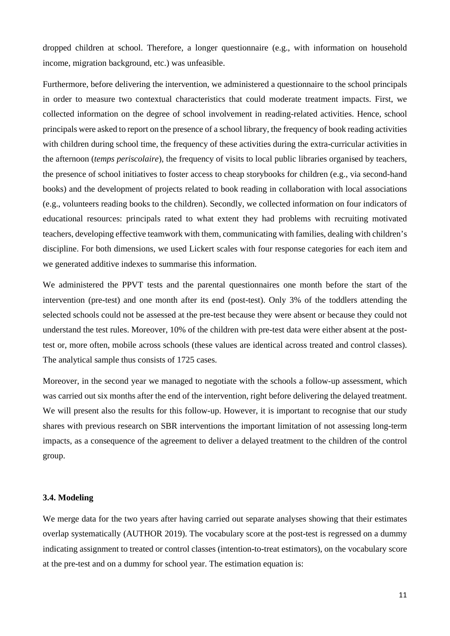dropped children at school. Therefore, a longer questionnaire (e.g., with information on household income, migration background, etc.) was unfeasible.

Furthermore, before delivering the intervention, we administered a questionnaire to the school principals in order to measure two contextual characteristics that could moderate treatment impacts. First, we collected information on the degree of school involvement in reading-related activities. Hence, school principals were asked to report on the presence of a school library, the frequency of book reading activities with children during school time, the frequency of these activities during the extra-curricular activities in the afternoon (*temps periscolaire*), the frequency of visits to local public libraries organised by teachers, the presence of school initiatives to foster access to cheap storybooks for children (e.g., via second-hand books) and the development of projects related to book reading in collaboration with local associations (e.g., volunteers reading books to the children). Secondly, we collected information on four indicators of educational resources: principals rated to what extent they had problems with recruiting motivated teachers, developing effective teamwork with them, communicating with families, dealing with children's discipline. For both dimensions, we used Lickert scales with four response categories for each item and we generated additive indexes to summarise this information.

We administered the PPVT tests and the parental questionnaires one month before the start of the intervention (pre-test) and one month after its end (post-test). Only 3% of the toddlers attending the selected schools could not be assessed at the pre-test because they were absent or because they could not understand the test rules. Moreover, 10% of the children with pre-test data were either absent at the posttest or, more often, mobile across schools (these values are identical across treated and control classes). The analytical sample thus consists of 1725 cases.

Moreover, in the second year we managed to negotiate with the schools a follow-up assessment, which was carried out six months after the end of the intervention, right before delivering the delayed treatment. We will present also the results for this follow-up. However, it is important to recognise that our study shares with previous research on SBR interventions the important limitation of not assessing long-term impacts, as a consequence of the agreement to deliver a delayed treatment to the children of the control group.

#### **3.4. Modeling**

We merge data for the two years after having carried out separate analyses showing that their estimates overlap systematically (AUTHOR 2019). The vocabulary score at the post-test is regressed on a dummy indicating assignment to treated or control classes (intention-to-treat estimators), on the vocabulary score at the pre-test and on a dummy for school year. The estimation equation is: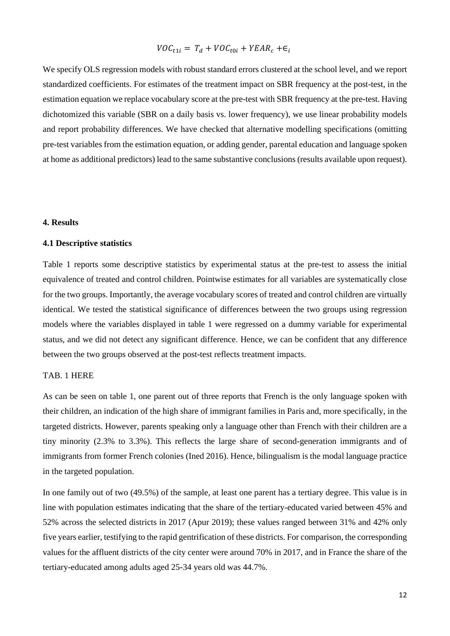$$
VOC_{t1i} = T_d + VOC_{t0i} + YEAR_c + \epsilon_i
$$

We specify OLS regression models with robust standard errors clustered at the school level, and we report standardized coefficients. For estimates of the treatment impact on SBR frequency at the post-test, in the estimation equation we replace vocabulary score at the pre-test with SBR frequency at the pre-test. Having dichotomized this variable (SBR on a daily basis vs. lower frequency), we use linear probability models and report probability differences. We have checked that alternative modelling specifications (omitting pre-test variables from the estimation equation, or adding gender, parental education and language spoken at home as additional predictors) lead to the same substantive conclusions (results available upon request).

#### **4. Results**

#### **4.1 Descriptive statistics**

Table 1 reports some descriptive statistics by experimental status at the pre-test to assess the initial equivalence of treated and control children. Pointwise estimates for all variables are systematically close for the two groups. Importantly, the average vocabulary scores of treated and control children are virtually identical. We tested the statistical significance of differences between the two groups using regression models where the variables displayed in table 1 were regressed on a dummy variable for experimental status, and we did not detect any significant difference. Hence, we can be confident that any difference between the two groups observed at the post-test reflects treatment impacts.

#### TAB. 1 HERE

As can be seen on table 1, one parent out of three reports that French is the only language spoken with their children, an indication of the high share of immigrant families in Paris and, more specifically, in the targeted districts. However, parents speaking only a language other than French with their children are a tiny minority (2.3% to 3.3%). This reflects the large share of second-generation immigrants and of immigrants from former French colonies (Ined 2016). Hence, bilingualism is the modal language practice in the targeted population.

In one family out of two (49.5%) of the sample, at least one parent has a tertiary degree. This value is in line with population estimates indicating that the share of the tertiary-educated varied between 45% and 52% across the selected districts in 2017 (Apur 2019); these values ranged between 31% and 42% only five years earlier, testifying to the rapid gentrification of these districts. For comparison, the corresponding values for the affluent districts of the city center were around 70% in 2017, and in France the share of the tertiary-educated among adults aged 25-34 years old was 44.7%.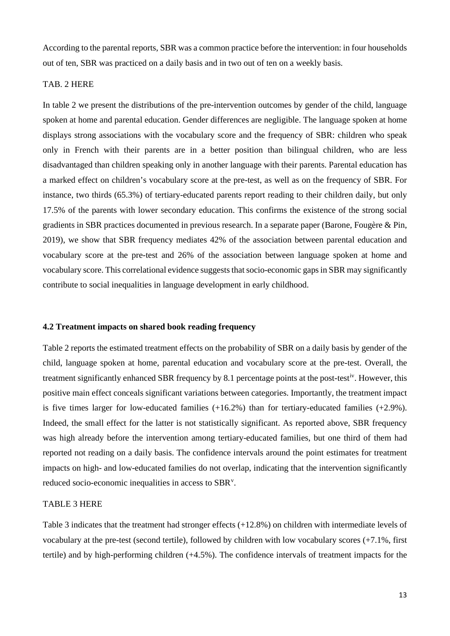According to the parental reports, SBR was a common practice before the intervention: in four households out of ten, SBR was practiced on a daily basis and in two out of ten on a weekly basis.

#### TAB. 2 HERE

In table 2 we present the distributions of the pre-intervention outcomes by gender of the child, language spoken at home and parental education. Gender differences are negligible. The language spoken at home displays strong associations with the vocabulary score and the frequency of SBR: children who speak only in French with their parents are in a better position than bilingual children, who are less disadvantaged than children speaking only in another language with their parents. Parental education has a marked effect on children's vocabulary score at the pre-test, as well as on the frequency of SBR. For instance, two thirds (65.3%) of tertiary-educated parents report reading to their children daily, but only 17.5% of the parents with lower secondary education. This confirms the existence of the strong social gradients in SBR practices documented in previous research. In a separate paper (Barone, Fougère & Pin, 2019), we show that SBR frequency mediates 42% of the association between parental education and vocabulary score at the pre-test and 26% of the association between language spoken at home and vocabulary score. This correlational evidence suggests that socio-economic gaps in SBR may significantly contribute to social inequalities in language development in early childhood.

#### **4.2 Treatment impacts on shared book reading frequency**

Table 2 reports the estimated treatment effects on the probability of SBR on a daily basis by gender of the child, language spoken at home, parental education and vocabulary score at the pre-test. Overall, the treatment significantly enhanced SBR frequency by 8.1 percentage points at the post-test<sup>iv</sup>. However, this positive main effect conceals significant variations between categories. Importantly, the treatment impact is five times larger for low-educated families (+16.2%) than for tertiary-educated families (+2.9%). Indeed, the small effect for the latter is not statistically significant. As reported above, SBR frequency was high already before the intervention among tertiary-educated families, but one third of them had reported not reading on a daily basis. The confidence intervals around the point estimates for treatment impacts on high- and low-educated families do not overlap, indicating that the intervention significantly reduced socio-economic inequalities in access to SBR<sup>[v](#page-27-4)</sup>.

#### TABLE 3 HERE

Table 3 indicates that the treatment had stronger effects (+12.8%) on children with intermediate levels of vocabulary at the pre-test (second tertile), followed by children with low vocabulary scores (+7.1%, first tertile) and by high-performing children (+4.5%). The confidence intervals of treatment impacts for the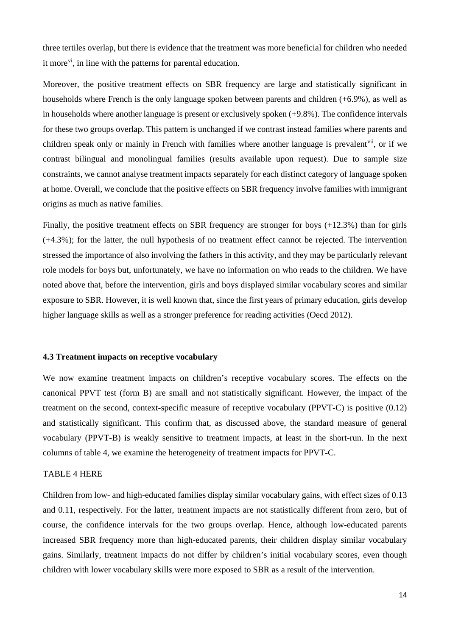three tertiles overlap, but there is evidence that the treatment was more beneficial for children who needed it more<sup>[vi](#page-27-5)</sup>, in line with the patterns for parental education.

Moreover, the positive treatment effects on SBR frequency are large and statistically significant in households where French is the only language spoken between parents and children (+6.9%), as well as in households where another language is present or exclusively spoken (+9.8%). The confidence intervals for these two groups overlap. This pattern is unchanged if we contrast instead families where parents and children speak only or mainly in French with families where another language is prevalent<sup>[vii](#page-27-6)</sup>, or if we contrast bilingual and monolingual families (results available upon request). Due to sample size constraints, we cannot analyse treatment impacts separately for each distinct category of language spoken at home. Overall, we conclude that the positive effects on SBR frequency involve families with immigrant origins as much as native families.

Finally, the positive treatment effects on SBR frequency are stronger for boys (+12.3%) than for girls (+4.3%); for the latter, the null hypothesis of no treatment effect cannot be rejected. The intervention stressed the importance of also involving the fathers in this activity, and they may be particularly relevant role models for boys but, unfortunately, we have no information on who reads to the children. We have noted above that, before the intervention, girls and boys displayed similar vocabulary scores and similar exposure to SBR. However, it is well known that, since the first years of primary education, girls develop higher language skills as well as a stronger preference for reading activities (Oecd 2012).

#### **4.3 Treatment impacts on receptive vocabulary**

We now examine treatment impacts on children's receptive vocabulary scores. The effects on the canonical PPVT test (form B) are small and not statistically significant. However, the impact of the treatment on the second, context-specific measure of receptive vocabulary (PPVT-C) is positive (0.12) and statistically significant. This confirm that, as discussed above, the standard measure of general vocabulary (PPVT-B) is weakly sensitive to treatment impacts, at least in the short-run. In the next columns of table 4, we examine the heterogeneity of treatment impacts for PPVT-C.

#### TABLE 4 HERE

Children from low- and high-educated families display similar vocabulary gains, with effect sizes of 0.13 and 0.11, respectively. For the latter, treatment impacts are not statistically different from zero, but of course, the confidence intervals for the two groups overlap. Hence, although low-educated parents increased SBR frequency more than high-educated parents, their children display similar vocabulary gains. Similarly, treatment impacts do not differ by children's initial vocabulary scores, even though children with lower vocabulary skills were more exposed to SBR as a result of the intervention.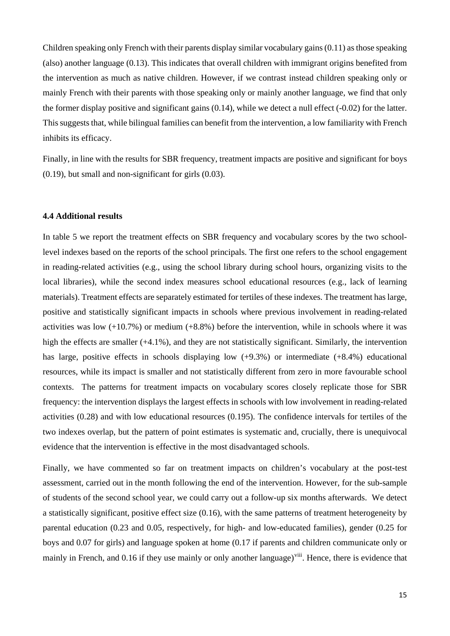Children speaking only French with their parents display similar vocabulary gains (0.11) as those speaking (also) another language (0.13). This indicates that overall children with immigrant origins benefited from the intervention as much as native children. However, if we contrast instead children speaking only or mainly French with their parents with those speaking only or mainly another language, we find that only the former display positive and significant gains (0.14), while we detect a null effect (-0.02) for the latter. This suggests that, while bilingual families can benefit from the intervention, a low familiarity with French inhibits its efficacy.

Finally, in line with the results for SBR frequency, treatment impacts are positive and significant for boys (0.19), but small and non-significant for girls (0.03).

#### **4.4 Additional results**

In table 5 we report the treatment effects on SBR frequency and vocabulary scores by the two schoollevel indexes based on the reports of the school principals. The first one refers to the school engagement in reading-related activities (e.g., using the school library during school hours, organizing visits to the local libraries), while the second index measures school educational resources (e.g., lack of learning materials). Treatment effects are separately estimated for tertiles of these indexes. The treatment has large, positive and statistically significant impacts in schools where previous involvement in reading-related activities was low  $(+10.7\%)$  or medium  $(+8.8\%)$  before the intervention, while in schools where it was high the effects are smaller (+4.1%), and they are not statistically significant. Similarly, the intervention has large, positive effects in schools displaying low  $(+9.3\%)$  or intermediate  $(+8.4\%)$  educational resources, while its impact is smaller and not statistically different from zero in more favourable school contexts. The patterns for treatment impacts on vocabulary scores closely replicate those for SBR frequency: the intervention displays the largest effects in schools with low involvement in reading-related activities (0.28) and with low educational resources (0.195). The confidence intervals for tertiles of the two indexes overlap, but the pattern of point estimates is systematic and, crucially, there is unequivocal evidence that the intervention is effective in the most disadvantaged schools.

Finally, we have commented so far on treatment impacts on children's vocabulary at the post-test assessment, carried out in the month following the end of the intervention. However, for the sub-sample of students of the second school year, we could carry out a follow-up six months afterwards. We detect a statistically significant, positive effect size (0.16), with the same patterns of treatment heterogeneity by parental education (0.23 and 0.05, respectively, for high- and low-educated families), gender (0.25 for boys and 0.07 for girls) and language spoken at home (0.17 if parents and children communicate only or mainly in French, and 0.16 if they use mainly or only another language)<sup>viii</sup>. Hence, there is evidence that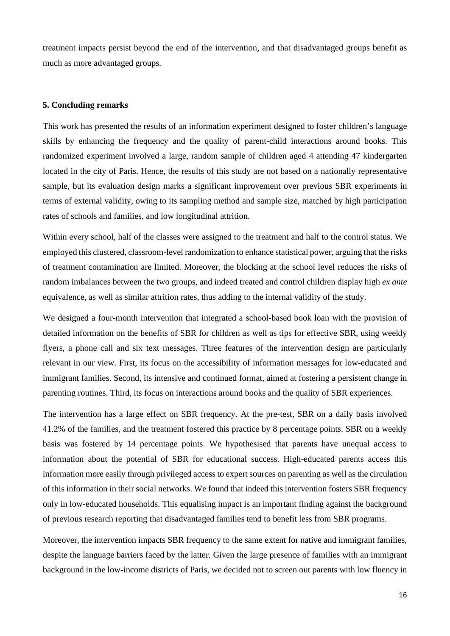treatment impacts persist beyond the end of the intervention, and that disadvantaged groups benefit as much as more advantaged groups.

#### **5. Concluding remarks**

This work has presented the results of an information experiment designed to foster children's language skills by enhancing the frequency and the quality of parent-child interactions around books. This randomized experiment involved a large, random sample of children aged 4 attending 47 kindergarten located in the city of Paris. Hence, the results of this study are not based on a nationally representative sample, but its evaluation design marks a significant improvement over previous SBR experiments in terms of external validity, owing to its sampling method and sample size, matched by high participation rates of schools and families, and low longitudinal attrition.

Within every school, half of the classes were assigned to the treatment and half to the control status. We employed this clustered, classroom-level randomization to enhance statistical power, arguing that the risks of treatment contamination are limited. Moreover, the blocking at the school level reduces the risks of random imbalances between the two groups, and indeed treated and control children display high *ex ante* equivalence, as well as similar attrition rates, thus adding to the internal validity of the study.

We designed a four-month intervention that integrated a school-based book loan with the provision of detailed information on the benefits of SBR for children as well as tips for effective SBR, using weekly flyers, a phone call and six text messages. Three features of the intervention design are particularly relevant in our view. First, its focus on the accessibility of information messages for low-educated and immigrant families. Second, its intensive and continued format, aimed at fostering a persistent change in parenting routines. Third, its focus on interactions around books and the quality of SBR experiences.

The intervention has a large effect on SBR frequency. At the pre-test, SBR on a daily basis involved 41.2% of the families, and the treatment fostered this practice by 8 percentage points. SBR on a weekly basis was fostered by 14 percentage points. We hypothesised that parents have unequal access to information about the potential of SBR for educational success. High-educated parents access this information more easily through privileged access to expert sources on parenting as well as the circulation of this information in their social networks. We found that indeed this intervention fosters SBR frequency only in low-educated households. This equalising impact is an important finding against the background of previous research reporting that disadvantaged families tend to benefit less from SBR programs.

Moreover, the intervention impacts SBR frequency to the same extent for native and immigrant families, despite the language barriers faced by the latter. Given the large presence of families with an immigrant background in the low-income districts of Paris, we decided not to screen out parents with low fluency in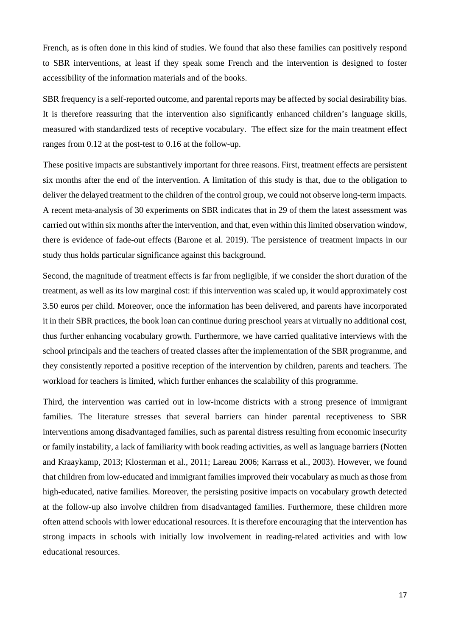French, as is often done in this kind of studies. We found that also these families can positively respond to SBR interventions, at least if they speak some French and the intervention is designed to foster accessibility of the information materials and of the books.

SBR frequency is a self-reported outcome, and parental reports may be affected by social desirability bias. It is therefore reassuring that the intervention also significantly enhanced children's language skills, measured with standardized tests of receptive vocabulary. The effect size for the main treatment effect ranges from 0.12 at the post-test to 0.16 at the follow-up.

These positive impacts are substantively important for three reasons. First, treatment effects are persistent six months after the end of the intervention. A limitation of this study is that, due to the obligation to deliver the delayed treatment to the children of the control group, we could not observe long-term impacts. A recent meta-analysis of 30 experiments on SBR indicates that in 29 of them the latest assessment was carried out within six months after the intervention, and that, even within this limited observation window, there is evidence of fade-out effects (Barone et al. 2019). The persistence of treatment impacts in our study thus holds particular significance against this background.

Second, the magnitude of treatment effects is far from negligible, if we consider the short duration of the treatment, as well as its low marginal cost: if this intervention was scaled up, it would approximately cost 3.50 euros per child. Moreover, once the information has been delivered, and parents have incorporated it in their SBR practices, the book loan can continue during preschool years at virtually no additional cost, thus further enhancing vocabulary growth. Furthermore, we have carried qualitative interviews with the school principals and the teachers of treated classes after the implementation of the SBR programme, and they consistently reported a positive reception of the intervention by children, parents and teachers. The workload for teachers is limited, which further enhances the scalability of this programme.

Third, the intervention was carried out in low-income districts with a strong presence of immigrant families. The literature stresses that several barriers can hinder parental receptiveness to SBR interventions among disadvantaged families, such as parental distress resulting from economic insecurity or family instability, a lack of familiarity with book reading activities, as well as language barriers (Notten and Kraaykamp, 2013; Klosterman et al., 2011; Lareau 2006; Karrass et al., 2003). However, we found that children from low-educated and immigrant families improved their vocabulary as much as those from high-educated, native families. Moreover, the persisting positive impacts on vocabulary growth detected at the follow-up also involve children from disadvantaged families. Furthermore, these children more often attend schools with lower educational resources. It is therefore encouraging that the intervention has strong impacts in schools with initially low involvement in reading-related activities and with low educational resources.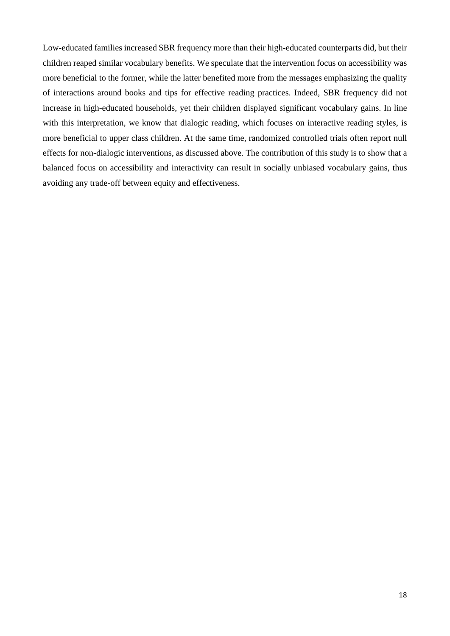Low-educated families increased SBR frequency more than their high-educated counterparts did, but their children reaped similar vocabulary benefits. We speculate that the intervention focus on accessibility was more beneficial to the former, while the latter benefited more from the messages emphasizing the quality of interactions around books and tips for effective reading practices. Indeed, SBR frequency did not increase in high-educated households, yet their children displayed significant vocabulary gains. In line with this interpretation, we know that dialogic reading, which focuses on interactive reading styles, is more beneficial to upper class children. At the same time, randomized controlled trials often report null effects for non-dialogic interventions, as discussed above. The contribution of this study is to show that a balanced focus on accessibility and interactivity can result in socially unbiased vocabulary gains, thus avoiding any trade-off between equity and effectiveness.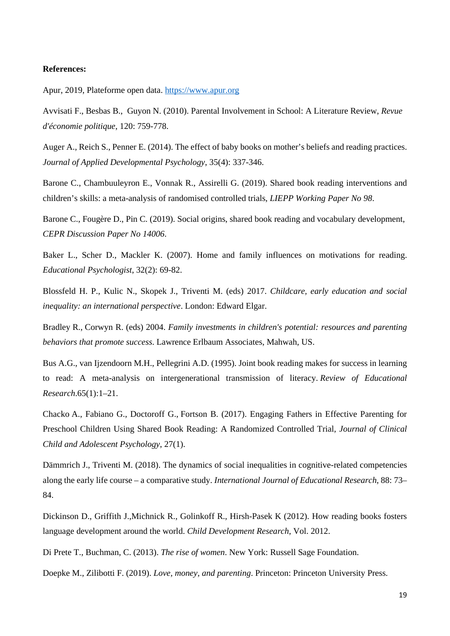#### **References:**

Apur, 2019, Plateforme open data. [https://www.apur.org](https://www.apur.org/)

[Avvisati](https://www.cairn.info/publications-de-Francesco-Avvisati--71770.htm) F., [Besbas](https://www.cairn.info/publications-de-Bruno-Besbas--71771.htm) B., [Guyon](https://www.cairn.info/publications-de-Nina-Guyon--71772.htm) N. (2010). Parental Involvement in School: A Literature Review, *[Revue](https://www.cairn.info/revue-d-economie-politique.htm)  [d'économie politique](https://www.cairn.info/revue-d-economie-politique.htm)*, 120: 759-778.

Auger A., Reich S., Penner E. (2014). The effect of baby books on mother's beliefs and reading practices. *Journal of Applied Developmental Psychology*, 35(4): 337-346.

Barone C., Chambuuleyron E., Vonnak R., Assirelli G. (2019). Shared book reading interventions and children's skills: a meta-analysis of randomised controlled trials, *LIEPP Working Paper No 98*.

Barone C., Fougère D., Pin C. (2019). Social origins, shared book reading and vocabulary development, *CEPR Discussion Paper No 14006*.

Baker L., Scher D., Mackler K. (2007). Home and family influences on motivations for reading. *Educational Psychologist*, 32(2): 69-82.

Blossfeld H. P., Kulic N., Skopek J., Triventi M. (eds) 2017. *Childcare, early education and social inequality: an international perspective*. London: Edward Elgar.

Bradley R., Corwyn R. (eds) 2004. *Family investments in children's potential: resources and parenting behaviors that promote success*. Lawrence Erlbaum Associates, Mahwah, US.

Bus A.G., van Ijzendoorn M.H., Pellegrini A.D. (1995). Joint book reading makes for success in learning to read: A meta-analysis on intergenerational transmission of literacy. *Review of Educational Research*.65(1):1–21.

[Chacko](https://www.tandfonline.com/author/Chacko%2C+Anil) A., [Fabiano](https://www.tandfonline.com/author/Fabiano%2C+Gregory+A) G., [Doctoroff](https://www.tandfonline.com/author/Doctoroff%2C+Greta+L) G., [Fortson](https://www.tandfonline.com/author/Fortson%2C+Beverly) B. (2017). Engaging Fathers in Effective Parenting for Preschool Children Using Shared Book Reading: A Randomized Controlled Trial, *Journal of Clinical Child and Adolescent Psychology*, 27(1).

Dämmrich J., Triventi M. (2018). The dynamics of social inequalities in cognitive-related competencies along the early life course – a comparative study. *International Journal of Educational Research*, 88: 73– 84.

[Dickinson](https://www.hindawi.com/96712703/) D., [Griffith](https://www.hindawi.com/62409271/) J.[,Michnick R., Golinkoff](https://www.hindawi.com/71760959/) R., [Hirsh-Pasek](https://www.hindawi.com/82314231/) K (2012). How reading books fosters language development around the world. *Child Development Research*, Vol. 2012.

Di Prete T., Buchman, C. (2013). *The rise of women*. New York: Russell Sage Foundation.

Doepke M., Zilibotti F. (2019). *Love, money, and parenting*. Princeton: Princeton University Press.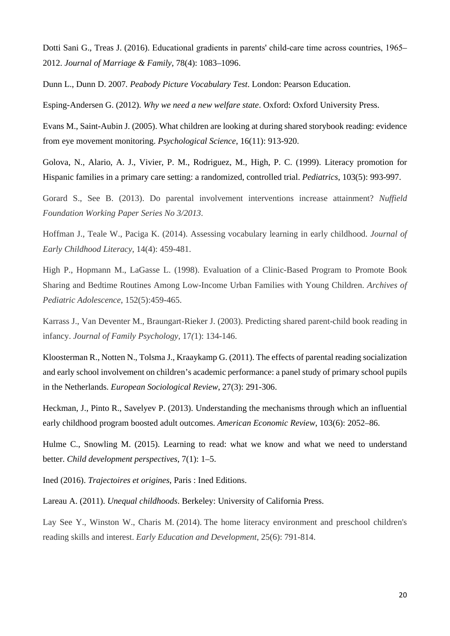[Dotti Sani](https://onlinelibrary.wiley.com/action/doSearch?ContribAuthorStored=Dotti+Sani%2C+Giulia+M) G., [Treas](https://onlinelibrary.wiley.com/action/doSearch?ContribAuthorStored=Treas%2C+Judith) J. (2016). Educational gradients in parents' child-care time across countries, 1965– 2012. *Journal of Marriage & Family*, 78(4): 1083–1096.

Dunn L., Dunn D. 2007*. [Peabody Picture Vocabulary Test](http://psychcorp.pearsonassessments.com/HAIWEB/Cultures/en-us/Productdetail.htm?Pid=PAa30700)*. London: Pearson Education.

Esping-Andersen G. (2012). *Why we need a new welfare state*. Oxford: Oxford University Press.

Evans M., Saint-Aubin J. (2005). What children are looking at during shared storybook reading: evidence from eye movement monitoring. *Psychological Science*, 16(11): 913-920.

Golova, N., Alario, A. J., Vivier, P. M., Rodriguez, M., High, P. C. (1999). Literacy promotion for Hispanic families in a primary care setting: a randomized, controlled trial. *Pediatrics*, 103(5): 993-997.

Gorard S., See B. (2013). Do parental involvement interventions increase attainment? *Nuffield Foundation Working Paper Series No 3/2013*.

Hoffman J., Teale W., Paciga K. (2014). Assessing vocabulary learning in early childhood. *Journal of Early Childhood Literacy*, 14(4): 459-481.

High P., Hopmann M., LaGasse L. (1998). Evaluation of a Clinic-Based Program to Promote Book Sharing and Bedtime Routines Among Low-Income Urban Families with Young Children. *Archives of Pediatric Adolescence*, 152(5):459-465.

Karrass J., Van Deventer M., Braungart-Rieker J. (2003). Predicting shared parent-child book reading in infancy. *Journal of Family Psychology,* 17*(*1): 134-146.

Kloosterman R., Notten N., Tolsma J., Kraaykamp G. (2011). The effects of parental reading socialization and early school involvement on children's academic performance: a panel study of primary school pupils in the Netherlands. *European Sociological Review*, 27(3): 291-306.

Heckman, J., Pinto R., Savelyev P. (2013). Understanding the mechanisms through which an influential early childhood program boosted adult outcomes. *American Economic Review*, 103(6): 2052–86.

Hulme C., Snowling M. (2015). Learning to read: what we know and what we need to understand better. *Child development perspectives*, 7(1): 1–5.

Ined (2016). *Trajectoires et origines*, Paris : Ined Editions.

Lareau A. (2011). *Unequal childhoods*. Berkeley: University of California Press.

Lay See Y., Winston W., Charis M. (2014). The home literacy environment and preschool children's reading skills and interest. *Early Education and Development*, 25(6): 791-814.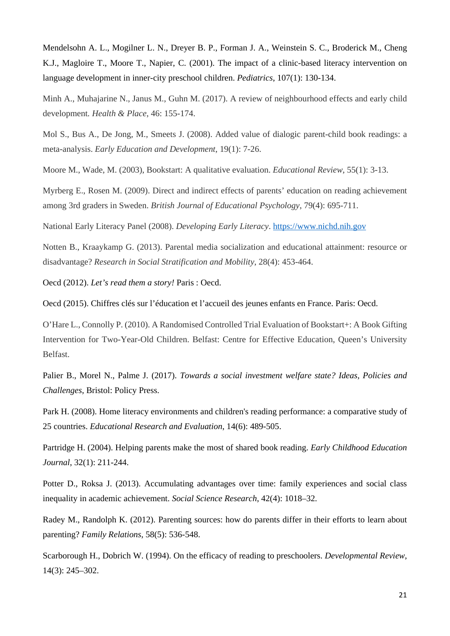Mendelsohn A. L., Mogilner L. N., Dreyer B. P., Forman J. A., Weinstein S. C., Broderick M., Cheng K.J., Magloire T., Moore T., Napier, C. (2001). The impact of a clinic-based literacy intervention on language development in inner-city preschool children. *Pediatrics*, 107(1): 130-134.

Minh A., Muhajarine N., Janus M., Guhn M. (2017). A review of neighbourhood effects and early child development*. Health & Place*, 46: 155-174.

Mol S., Bus A., De Jong, M., Smeets J. (2008). Added value of dialogic parent-child book readings: a meta-analysis. *Early Education and Development*, 19(1): 7-26.

Moore M., Wade, M. (2003), Bookstart: A qualitative evaluation. *Educational Review*, 55(1): 3-13.

Myrberg E., Rosen M. (2009). Direct and indirect effects of parents' education on reading achievement among 3rd graders in Sweden. *British Journal of Educational Psychology*, 79(4): 695-711.

National Early Literacy Panel (2008). *Developing Early Literacy*. [https://www.nichd.nih.gov](https://www.nichd.nih.gov/)

Notten B., Kraaykamp G. (2013). Parental media socialization and educational attainment: resource or disadvantage? *Research in Social Stratification and Mobility*, 28(4): 453-464.

Oecd (2012). *Let's read them a story!* Paris : Oecd.

Oecd (2015). Chiffres clés sur l'éducation et l'accueil des jeunes enfants en France. Paris: Oecd.

O'Hare L., Connolly P. (2010). A Randomised Controlled Trial Evaluation of Bookstart+: A Book Gifting Intervention for Two-Year-Old Children. Belfast: Centre for Effective Education, Queen's University Belfast.

Palier B., Morel N., Palme J. (2017). *[Towards a social investment welfare state? Ideas, Policies and](http://policypress.universitypressscholarship.com/view/10.1332/policypress/9781847429247.001.0001/upso-9781847429247)  [Challenges](http://policypress.universitypressscholarship.com/view/10.1332/policypress/9781847429247.001.0001/upso-9781847429247)*, Bristol: Policy Press.

Park H. (2008). Home literacy environments and children's reading performance: a comparative study of 25 countries. *Educational Research and Evaluation*, 14(6): 489-505.

Partridge H. (2004). Helping parents make the most of shared book reading. *Early Childhood Education Journal*, 32(1): 211-244.

Potter D., Roksa J. (2013). Accumulating advantages over time: family experiences and social class inequality in academic achievement. *Social Science Research*, 42(4): 1018–32.

Radey M., Randolph K. (2012). Parenting sources: how do parents differ in their efforts to learn about parenting? *Family Relations*, 58(5): 536-548.

Scarborough H., Dobrich W. (1994). On the efficacy of reading to preschoolers. *Developmental Review*, 14(3): 245–302.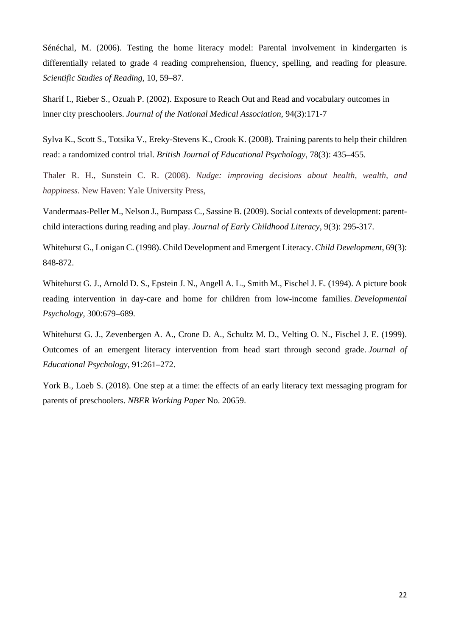Sénéchal, M. (2006). Testing the home literacy model: Parental involvement in kindergarten is differentially related to grade 4 reading comprehension, fluency, spelling, and reading for pleasure. *Scientific Studies of Reading*, 10, 59–87.

[Sharif](https://www.researchgate.net/profile/Iman_Sharif2?_sg%5B0%5D=LiE-OvD7MJMg4kBgSCqB8h5dp-SZVqZi5fkFFu7pSNW150_IhSga0v4__QjhBFEI9M1tlJo.lSTwgZqpCHBmpoAleutSTc3I458Oh_H-42NcoqssB6DZh8Kyx_DuU68kHDMpomwr8whP92HCM5m26fDEYX-LSA&_sg%5B1%5D=rPrbmPyt-iFito4pyHQPH_7RV5J9KupI1X9IRW3qh71nLUDX5BZHmrTAVu7URQEWPJ7M4dl8yh-4S_bV.8WXsQ-UPu9hky3R2hTywyAXYFgPyaEgtMvLoB7mWmoyX9BbdhaWV5MSf4YEHjgrAHWrp1m6arShYIXdXqSlAHw) I., Rieber S., Ozuah P. (2002). Exposure to Reach Out and Read and vocabulary outcomes in inner city preschoolers. *Journal of the National Medical Association,* 94(3):171-7

Sylva K., Scott S., Totsika V., Ereky-Stevens K., Crook K. (2008). Training parents to help their children read: a randomized control trial. *British Journal of Educational Psychology*, 78(3): 435–455.

Thaler R. H., Sunstein C. R. (2008). *Nudge: improving decisions about health, wealth, and happiness.* New Haven: Yale University Press,

Vandermaas-Peller M., Nelson J., Bumpass C., Sassine B. (2009). Social contexts of development: parentchild interactions during reading and play. *Journal of Early Childhood Literacy*, 9(3): 295-317.

Whitehurst G., Lonigan C. (1998). Child Development and Emergent Literacy. *Child Development*, 69(3): 848-872.

Whitehurst G. J., Arnold D. S., Epstein J. N., Angell A. L., Smith M., Fischel J. E. (1994). A picture book reading intervention in day-care and home for children from low-income families. *Developmental Psychology*, 300:679–689.

Whitehurst G. J., Zevenbergen A. A., Crone D. A., Schultz M. D., Velting O. N., Fischel J. E. (1999). Outcomes of an emergent literacy intervention from head start through second grade. *Journal of Educational Psychology*, 91:261–272.

York B., Loeb S. (2018). One step at a time: the effects of an early literacy text messaging program for parents of preschoolers. *NBER Working Paper* No. 20659.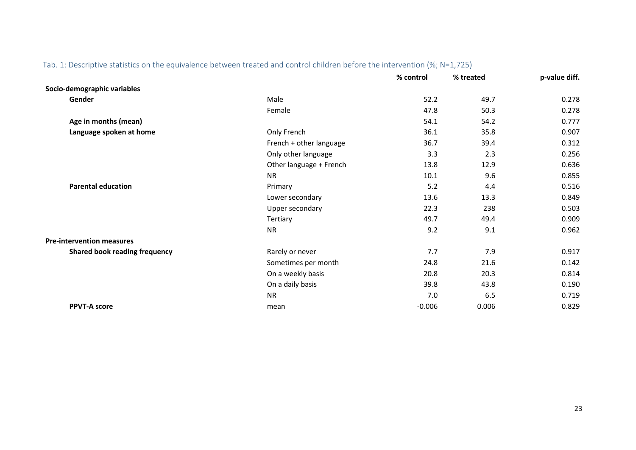|                                      |                         | % control | % treated | p-value diff. |
|--------------------------------------|-------------------------|-----------|-----------|---------------|
| Socio-demographic variables          |                         |           |           |               |
| Gender                               | Male                    | 52.2      | 49.7      | 0.278         |
|                                      | Female                  | 47.8      | 50.3      | 0.278         |
| Age in months (mean)                 |                         | 54.1      | 54.2      | 0.777         |
| Language spoken at home              | Only French             | 36.1      | 35.8      | 0.907         |
|                                      | French + other language | 36.7      | 39.4      | 0.312         |
|                                      | Only other language     | 3.3       | 2.3       | 0.256         |
|                                      | Other language + French | 13.8      | 12.9      | 0.636         |
|                                      | <b>NR</b>               | 10.1      | 9.6       | 0.855         |
| <b>Parental education</b>            | Primary                 | 5.2       | 4.4       | 0.516         |
|                                      | Lower secondary         | 13.6      | 13.3      | 0.849         |
|                                      | Upper secondary         | 22.3      | 238       | 0.503         |
|                                      | Tertiary                | 49.7      | 49.4      | 0.909         |
|                                      | <b>NR</b>               | 9.2       | 9.1       | 0.962         |
| <b>Pre-intervention measures</b>     |                         |           |           |               |
| <b>Shared book reading frequency</b> | Rarely or never         | 7.7       | 7.9       | 0.917         |
|                                      | Sometimes per month     | 24.8      | 21.6      | 0.142         |
|                                      | On a weekly basis       | 20.8      | 20.3      | 0.814         |
|                                      | On a daily basis        | 39.8      | 43.8      | 0.190         |
|                                      | <b>NR</b>               | 7.0       | 6.5       | 0.719         |
| <b>PPVT-A score</b>                  | mean                    | $-0.006$  | 0.006     | 0.829         |

### Tab. 1: Descriptive statistics on the equivalence between treated and control children before the intervention (%; N=1,725)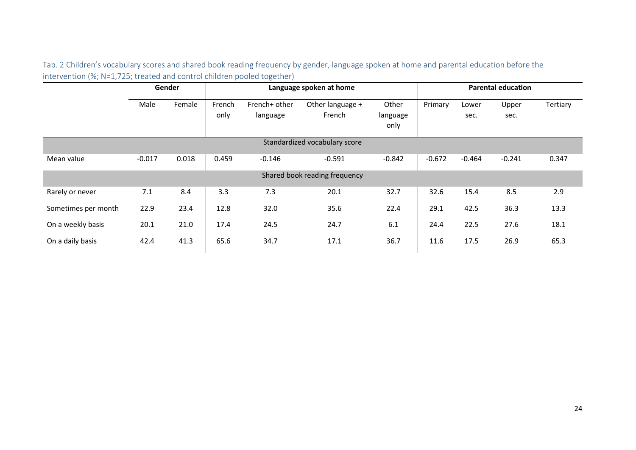Tab. 2 Children's vocabulary scores and shared book reading frequency by gender, language spoken at home and parental education before the intervention (%; N=1,725; treated and control children pooled together)

|                               | Gender   |        | Language spoken at home |                           |                               |                           |          | <b>Parental education</b> |               |          |  |  |
|-------------------------------|----------|--------|-------------------------|---------------------------|-------------------------------|---------------------------|----------|---------------------------|---------------|----------|--|--|
|                               | Male     | Female | French<br>only          | French+ other<br>language | Other language +<br>French    | Other<br>language<br>only | Primary  | Lower<br>sec.             | Upper<br>sec. | Tertiary |  |  |
| Standardized vocabulary score |          |        |                         |                           |                               |                           |          |                           |               |          |  |  |
| Mean value                    | $-0.017$ | 0.018  | 0.459                   | $-0.146$                  | $-0.591$                      | $-0.842$                  | $-0.672$ | $-0.464$                  | $-0.241$      | 0.347    |  |  |
|                               |          |        |                         |                           | Shared book reading frequency |                           |          |                           |               |          |  |  |
| Rarely or never               | 7.1      | 8.4    | 3.3                     | 7.3                       | 20.1                          | 32.7                      | 32.6     | 15.4                      | 8.5           | 2.9      |  |  |
| Sometimes per month           | 22.9     | 23.4   | 12.8                    | 32.0                      | 35.6                          | 22.4                      | 29.1     | 42.5                      | 36.3          | 13.3     |  |  |
| On a weekly basis             | 20.1     | 21.0   | 17.4                    | 24.5                      | 24.7                          | 6.1                       | 24.4     | 22.5                      | 27.6          | 18.1     |  |  |
| On a daily basis              | 42.4     | 41.3   | 65.6                    | 34.7                      | 17.1                          | 36.7                      | 11.6     | 17.5                      | 26.9          | 65.3     |  |  |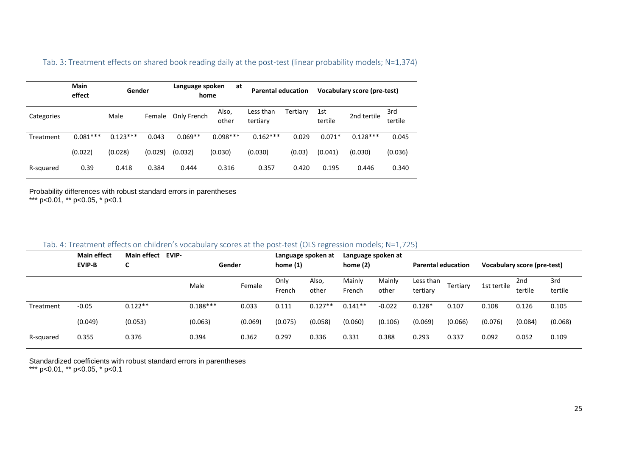|            | <b>Main</b><br>effect | Gender     |         | Language spoken<br>at<br>home |                | <b>Parental education</b> |          | <b>Vocabulary score (pre-test)</b> |             |                |
|------------|-----------------------|------------|---------|-------------------------------|----------------|---------------------------|----------|------------------------------------|-------------|----------------|
| Categories |                       | Male       | Female  | Only French                   | Also,<br>other | Less than<br>tertiary     | Tertiary | 1st<br>tertile                     | 2nd tertile | 3rd<br>tertile |
| Treatment  | $0.081***$            | $0.123***$ | 0.043   | $0.069**$                     | $0.098***$     | $0.162***$                | 0.029    | $0.071*$                           | $0.128***$  | 0.045          |
|            | (0.022)               | (0.028)    | (0.029) | (0.032)                       | (0.030)        | (0.030)                   | (0.03)   | (0.041)                            | (0.030)     | (0.036)        |
| R-squared  | 0.39                  | 0.418      | 0.384   | 0.444                         | 0.316          | 0.357                     | 0.420    | 0.195                              | 0.446       | 0.340          |

Tab. 3: Treatment effects on shared book reading daily at the post-test (linear probability models; N=1,374)

Probability differences with robust standard errors in parentheses \*\*\* p<0.01, \*\* p<0.05, \* p<0.1

#### Tab. 4: Treatment effects on children's vocabulary scores at the post-test (OLS regression models; N=1,725)

|           | <b>Main effect</b><br><b>EVIP-B</b> | <b>Main effect</b><br>EVIP-<br>r | Gender     |         | Language spoken at<br>Language spoken at<br>home $(1)$<br>home $(2)$ |                | <b>Parental education</b> |                 | <b>Vocabulary score (pre-test)</b> |          |             |                |                |
|-----------|-------------------------------------|----------------------------------|------------|---------|----------------------------------------------------------------------|----------------|---------------------------|-----------------|------------------------------------|----------|-------------|----------------|----------------|
|           |                                     |                                  | Male       | Female  | Only<br>French                                                       | Also,<br>other | Mainly<br>French          | Mainly<br>other | Less than<br>tertiary              | Tertiary | 1st tertile | 2nd<br>tertile | 3rd<br>tertile |
| Treatment | $-0.05$                             | $0.122**$                        | $0.188***$ | 0.033   | 0.111                                                                | $0.127**$      | $0.141**$                 | $-0.022$        | $0.128*$                           | 0.107    | 0.108       | 0.126          | 0.105          |
|           | (0.049)                             | (0.053)                          | (0.063)    | (0.069) | (0.075)                                                              | (0.058)        | (0.060)                   | (0.106)         | (0.069)                            | (0.066)  | (0.076)     | (0.084)        | (0.068)        |
| R-squared | 0.355                               | 0.376                            | 0.394      | 0.362   | 0.297                                                                | 0.336          | 0.331                     | 0.388           | 0.293                              | 0.337    | 0.092       | 0.052          | 0.109          |

Standardized coefficients with robust standard errors in parentheses

\*\*\* p<0.01, \*\* p<0.05, \* p<0.1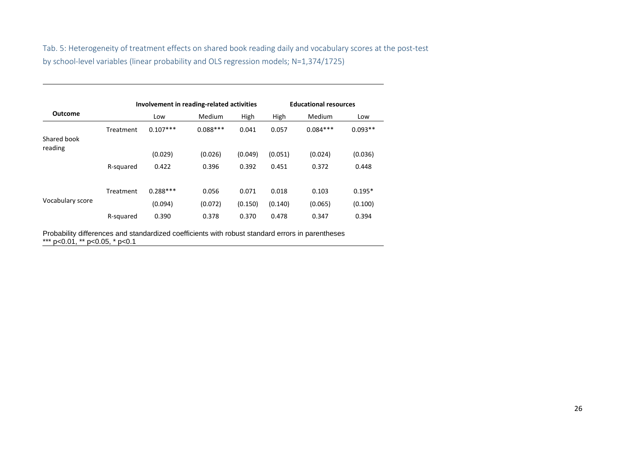Tab. 5: Heterogeneity of treatment effects on shared book reading daily and vocabulary scores at the post-test by school-level variables (linear probability and OLS regression models; N=1,374/1725)

|                        |           |            | Involvement in reading-related activities | <b>Educational resources</b> |         |            |           |  |
|------------------------|-----------|------------|-------------------------------------------|------------------------------|---------|------------|-----------|--|
| <b>Outcome</b>         |           | Low        | Medium                                    | High                         | High    | Medium     | Low       |  |
| Shared book<br>reading | Treatment | $0.107***$ | $0.088***$                                | 0.041                        | 0.057   | $0.084***$ | $0.093**$ |  |
|                        |           | (0.029)    | (0.026)                                   | (0.049)                      | (0.051) | (0.024)    | (0.036)   |  |
|                        | R-squared | 0.422      | 0.396                                     | 0.392                        | 0.451   | 0.372      | 0.448     |  |
|                        | Treatment | $0.288***$ | 0.056                                     | 0.071                        | 0.018   | 0.103      | $0.195*$  |  |
| Vocabulary score       |           | (0.094)    | (0.072)                                   | (0.150)                      | (0.140) | (0.065)    | (0.100)   |  |
|                        | R-squared | 0.390      | 0.378                                     | 0.370                        | 0.478   | 0.347      | 0.394     |  |

Probability differences and standardized coefficients with robust standard errors in parentheses \*\*\* p<0.01, \*\* p<0.05, \* p<0.1